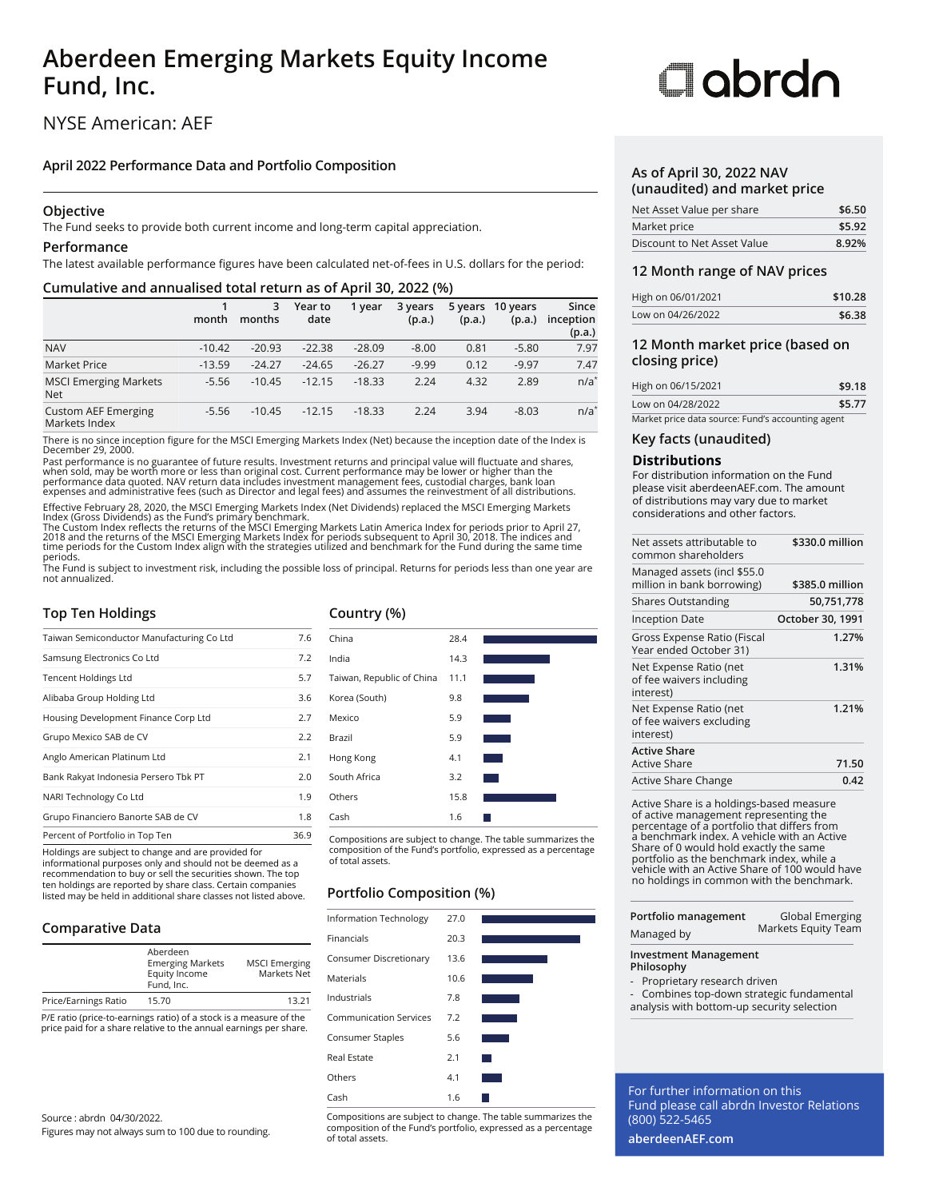# **Aberdeen Emerging Markets Equity Income Fund, Inc.**

# NYSE American: AEF

### **April 2022 Performance Data and Portfolio Composition**

### **Objective**

The Fund seeks to provide both current income and long-term capital appreciation.

### **Performance**

The latest available performance figures have been calculated net-of-fees in U.S. dollars for the period:

### **Cumulative and annualised total return as of April 30, 2022 (%)**

|                                             | month    | 3<br>months | Year to<br>date | 1 year   | 3 years<br>(p.a.) | 5 years<br>(p.a.) | 10 years<br>(p.a.) | Since<br>inception<br>(p.a.) |
|---------------------------------------------|----------|-------------|-----------------|----------|-------------------|-------------------|--------------------|------------------------------|
| <b>NAV</b>                                  | $-10.42$ | $-20.93$    | $-22.38$        | $-28.09$ | $-8.00$           | 0.81              | $-5.80$            | 7.97                         |
| <b>Market Price</b>                         | $-13.59$ | $-24.27$    | $-24.65$        | $-26.27$ | $-9.99$           | 0.12              | $-9.97$            | 7.47                         |
| <b>MSCI Emerging Markets</b><br><b>Net</b>  | $-5.56$  | $-10.45$    | $-12.15$        | $-18.33$ | 2.24              | 4.32              | 2.89               | $n/a^*$                      |
| <b>Custom AEF Emerging</b><br>Markets Index | $-5.56$  | $-10.45$    | $-12.15$        | $-18.33$ | 2.24              | 3.94              | $-8.03$            | $n/a^*$                      |

There is no since inception figure for the MSCI Emerging Markets Index (Net) because the inception date of the Index is December 29, 2000.

Past performance is no guarantee of future results. Investment returns and principal value will fluctuate and shares,<br>when sold, may be worth more or less than original cost. Current performance may be lower or higher than

Effective February 28, 2020, the MSCI Emerging Markets Index (Net Dividends) replaced the MSCI Emerging Markets

Index (Gross Dividends) as the Fund's primary benchmark.<br>The Custom Index reflects the returns of the MSCI Emerging Markets Latin America Index for periods prior to April 27,<br>2018 and the returns of the MSCI Emerging Marke periods.

The Fund is subject to investment risk, including the possible loss of principal. Returns for periods less than one year are not annualized.

# **Top Ten Holdings**

| Taiwan Semiconductor Manufacturing Co Ltd | 7.6  |
|-------------------------------------------|------|
| Samsung Electronics Co Ltd                | 7.2  |
| <b>Tencent Holdings Ltd</b>               | 5.7  |
| Alibaba Group Holding Ltd                 | 3.6  |
| Housing Development Finance Corp Ltd      | 2.7  |
| Grupo Mexico SAB de CV                    | 2.2  |
| Anglo American Platinum Ltd               | 2.1  |
| Bank Rakyat Indonesia Persero Tbk PT      | 2.0  |
| NARI Technology Co Ltd                    | 1.9  |
| Grupo Financiero Banorte SAB de CV        | 1.8  |
| Percent of Portfolio in Top Ten           | 36.9 |

Holdings are subject to change and are provided for informational purposes only and should not be deemed as a recommendation to buy or sell the securities shown. The top ten holdings are reported by share class. Certain companies listed may be held in additional share classes not listed above.

# **Comparative Data**

|                      | Aberdeen<br><b>Emerging Markets</b><br>Equity Income<br>Fund, Inc. | <b>MSCI Emerging</b><br>Markets Net |
|----------------------|--------------------------------------------------------------------|-------------------------------------|
| Price/Earnings Ratio | 15.70                                                              | 13 21                               |

P/E ratio (price-to-earnings ratio) of a stock is a measure of the price paid for a share relative to the annual earnings per share.

Source : abrdn 04/30/2022.

Figures may not always sum to 100 due to rounding.

# **Country (%)**

| China                     | 28.4 |  |
|---------------------------|------|--|
| India                     | 14.3 |  |
| Taiwan, Republic of China | 11.1 |  |
| Korea (South)             | 9.8  |  |
| Mexico                    | 5.9  |  |
| Brazil                    | 5.9  |  |
| Hong Kong                 | 4.1  |  |
| South Africa              | 3.2  |  |
| Others                    | 15.8 |  |
| Cash                      | 1.6  |  |
|                           |      |  |

Compositions are subject to change. The table summarizes the composition of the Fund's portfolio, expressed as a percentage of total assets.

### **Portfolio Composition (%)**

| Information Technology        | 27.0 |  |
|-------------------------------|------|--|
| Financials                    | 20.3 |  |
| Consumer Discretionary        | 13.6 |  |
| <b>Materials</b>              | 10.6 |  |
| Industrials                   | 7.8  |  |
| <b>Communication Services</b> | 7.2  |  |
| Consumer Staples              | 5.6  |  |
| Real Estate                   | 2.1  |  |
| Others                        | 4.1  |  |
| Cash                          | 1.6  |  |

Compositions are subject to change. The table summarizes the composition of the Fund's portfolio, expressed as a percentage of total assets.

# Clobrdo

### **As of April 30, 2022 NAV (unaudited) and market price**

| Net Asset Value per share   | \$6.50 |
|-----------------------------|--------|
| Market price                | \$5.92 |
| Discount to Net Asset Value | 8.92%  |

### **12 Month range of NAV prices**

| High on 06/01/2021 | \$10.28 |
|--------------------|---------|
| Low on 04/26/2022  | \$6.38  |

### **12 Month market price (based on closing price)**

| High on 06/15/2021                                | \$9.18 |
|---------------------------------------------------|--------|
| Low on 04/28/2022                                 | \$5.77 |
| Market price data source: Fund's accounting agent |        |

# **Key facts (unaudited)**

### **Distributions**

۳

For distribution information on the Fund please visit aberdeenAEF.com. The amount of distributions may vary due to market considerations and other factors.

| Net assets attributable to<br>common shareholders               | \$330.0 million  |
|-----------------------------------------------------------------|------------------|
| Managed assets (incl \$55.0<br>million in bank borrowing)       | \$385.0 million  |
| <b>Shares Outstanding</b>                                       | 50,751,778       |
| <b>Inception Date</b>                                           | October 30, 1991 |
| Gross Expense Ratio (Fiscal<br>Year ended October 31)           | 1.27%            |
| Net Expense Ratio (net<br>of fee waivers including<br>interest) | 1.31%            |
| Net Expense Ratio (net<br>of fee waivers excluding<br>interest) | 1.21%            |
| <b>Active Share</b><br>Active Share                             | 71.50            |
| Active Share Change                                             | 0.42             |

Active Share is a holdings-based measure of active management representing the percentage of a portfolio that differs from a benchmark index. A vehicle with an Active Share of 0 would hold exactly the same portfolio as the benchmark index, while a vehicle with an Active Share of 100 would have no holdings in common with the benchmark.

| <b>Investment Management</b> |                     |  |  |
|------------------------------|---------------------|--|--|
| Managed by                   | Markets Equity Team |  |  |
| Portfolio management         | Global Emerging     |  |  |

**Philosophy**

- Proprietary research driven
- Combines top-down strategic fundamental
- analysis with bottom-up security selection

For further information on this Fund please call abrdn Investor Relations (800) 522-5465

**aberdeenAEF.com**